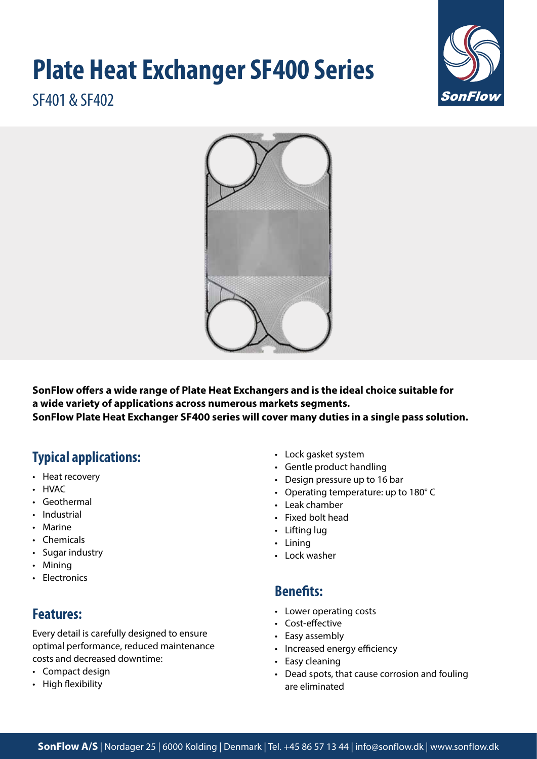# **Plate Heat Exchanger SF400 Series**



SF401 & SF402



**SonFlow offers a wide range of Plate Heat Exchangers and is the ideal choice suitable for a wide variety of applications across numerous markets segments. SonFlow Plate Heat Exchanger SF400 series will cover many duties in a single pass solution.** 

# **Typical applications:**

- Heat recovery
- HVAC
- Geothermal
- Industrial
- Marine
- Chemicals
- Sugar industry
- Mining
- Electronics

# **Features:**

Every detail is carefully designed to ensure optimal performance, reduced maintenance costs and decreased downtime:

- Compact design
- High flexibility
- Lock gasket system
- Gentle product handling
- Design pressure up to 16 bar
- Operating temperature: up to 180° C
- Leak chamber
- Fixed bolt head
- Lifting lug
- Lining
- Lock washer

# **Benefits:**

- Lower operating costs
- Cost-effective
- Easy assembly
- Increased energy efficiency
- Easy cleaning
- Dead spots, that cause corrosion and fouling are eliminated